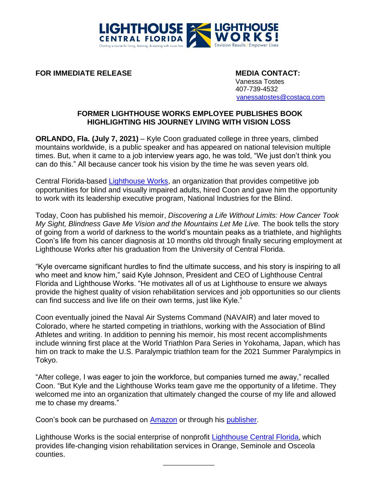

**FOR IMMEDIATE RELEASE MEDIA CONTACT:** 

Vanessa Tostes 407-739-4532 [vanessatostes@costacg.com](mailto:vanessatostes@costacg.com)

## **FORMER LIGHTHOUSE WORKS EMPLOYEE PUBLISHES BOOK HIGHLIGHTING HIS JOURNEY LIVING WITH VISION LOSS**

**ORLANDO, Fla. (July 7, 2021)** – Kyle Coon graduated college in three years, climbed mountains worldwide, is a public speaker and has appeared on national television multiple times. But, when it came to a job interview years ago, he was told, "We just don't think you can do this." All because cancer took his vision by the time he was seven years old.

Central Florida-based [Lighthouse Works,](https://lighthouseworks.org/) an organization that provides competitive job opportunities for blind and visually impaired adults, hired Coon and gave him the opportunity to work with its leadership executive program, National Industries for the Blind.

Today, Coon has published his memoir, *Discovering a Life Without Limits: How Cancer Took My Sight, Blindness Gave Me Vision and the Mountains Let Me Live.* The book tells the story of going from a world of darkness to the world's mountain peaks as a triathlete, and highlights Coon's life from his cancer diagnosis at 10 months old through finally securing employment at Lighthouse Works after his graduation from the University of Central Florida.

"Kyle overcame significant hurdles to find the ultimate success, and his story is inspiring to all who meet and know him," said Kyle Johnson, President and CEO of Lighthouse Central Florida and Lighthouse Works. "He motivates all of us at Lighthouse to ensure we always provide the highest quality of vision rehabilitation services and job opportunities so our clients can find success and live life on their own terms, just like Kyle."

Coon eventually joined the Naval Air Systems Command (NAVAIR) and later moved to Colorado, where he started competing in triathlons, working with the Association of Blind Athletes and writing. In addition to penning his memoir, his most recent accomplishments include winning first place at the World Triathlon Para Series in Yokohama, Japan, which has him on track to make the U.S. Paralympic triathlon team for the 2021 Summer Paralympics in Tokyo.

"After college, I was eager to join the workforce, but companies turned me away," recalled Coon. "But Kyle and the Lighthouse Works team gave me the opportunity of a lifetime. They welcomed me into an organization that ultimately changed the course of my life and allowed me to chase my dreams."

Coon's book can be purchased on [Amazon](https://smile.amazon.com/Discovering-Life-Without-Limits-blindness-ebook/dp/B095XN6F1D/ref=sr_1_1?dchild=1&keywords=Discovering+A+Life+Without+Limits&qid=1623076230&sr=8-1) or through his [publisher.](https://walnutstreetpublishing.com/blog/on-sale-discovering-a-life-without-limits/?blm_aid=233725953)

Lighthouse Works is the social enterprise of nonprofit [Lighthouse Central Florida](https://www.lighthousecfl.org/), which provides life-changing vision rehabilitation services in Orange, Seminole and Osceola counties.

\_\_\_\_\_\_\_\_\_\_\_\_\_\_\_